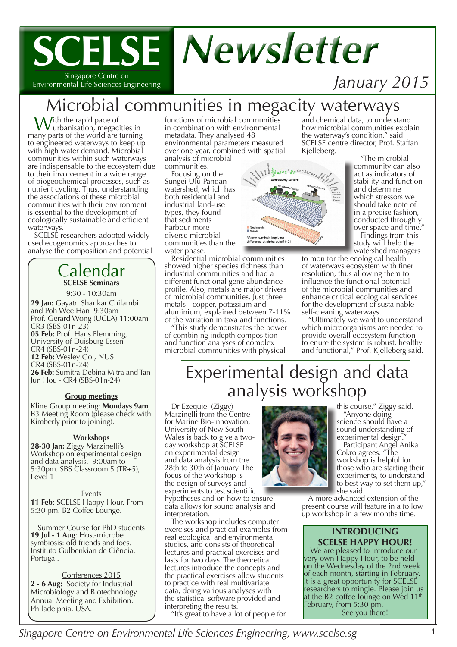## **SCELSE** *Newsletter* Singapore Centre on

Environmental Life Sciences Engineering

## *January 2015*

## Microbial communities in megacity waterways

With the rapid pace of<br>
many parts of the world are turning to engineered waterways to keep up with high water demand. Microbial communities within such waterways are indispensable to the ecosystem due to their involvement in a wide range of biogeochemical processes, such as nutrient cycling. Thus, understanding the associations of these microbial communities with their environment is essential to the development of ecologically sustainable and efficient waterways.

SCELSE researchers adopted widely used ecogenomics approaches to analyse the composition and potential

#### Calendar **SCELSE Seminars**

9:30 - 10:30am **29 Jan:** Gayatri Shankar Chilambi and Poh Wee Han 9:30am Prof. Gerard Wong (UCLA) 11:00am CR3 (SBS-01n-23) **05 Feb:** Prof. Hans Flemming, University of Duisburg-Essen CR4 (SBS-01n-24) **12 Feb:** Wesley Goi, NUS CR4 (SBS-01n-24) **26 Feb:** Sumitra Debina Mitra and Tan Jun Hou - CR4 (SBS-01n-24)

#### **Group meetings**

Kline Group meeting: **Mondays 9am**, B3 Meeting Room (please check with Kimberly prior to joining).

#### **Workshops**

**28-30 Jan:** Ziggy Marzinelli's Workshop on experimental design and data analysis. 9:00am to 5:30pm. SBS Classroom 5 (TR+5), Level 1

Events **11 Feb**: SCELSE Happy Hour. From 5:30 pm. B2 Coffee Lounge.

Summer Course for PhD students **19 Jul - 1 Aug**: Host-microbe symbiosis: old friends and foes. Instituto Gulbenkian de Ciência, Portugal.

Conferences 2015 **2 - 6 Aug:** Society for Industrial Microbiology and Biotechnology Annual Meeting and Exhibition. Philadelphia, USA.

functions of microbial communities in combination with environmental metadata. They analysed 48 environmental parameters measured over one year, combined with spatial analysis of microbial

communities.

Focusing on the Sungei Ulu Pandan watershed, which has both residential and industrial land-use types, they found that sediments harbour more diverse microbial communities than the water phase.

Residential microbial communities showed higher species richness than industrial communities and had a different functional gene abundance profile. Also, metals are major drivers of microbial communities. Just three metals - copper, potassium and aluminium, explained between 7-11% of the variation in taxa and functions.

"This study demonstrates the power of combining indepth composition and function analyses of complex microbial communities with physical



and chemical data, to understand how microbial communities explain the waterway's condition," said SCELSE centre director, Prof. Staffan<br>Kjelleberg.

"The microbial community can also act as indicators of stability and function and determine which stressors we should take note of in a precise fashion, conducted throughly over space and time."

Findings from this study will help the watershed managers

to monitor the ecological health of waterways ecosystem with finer resolution, thus allowing them to influence the functional potential of the microbial communities and enhance critical ecological services for the development of sustainable self-cleaning waterways.

"Ultimately we want to understand which microorganisms are needed to provide overall ecosystem function to enure the system is robust, healthy and functional," Prof. Kjelleberg said.

## Experimental design and data analysis workshop

Dr Ezequiel (Ziggy) Marzinelli from the Centre for Marine Bio-innovation, University of New South Wales is back to give a twoday workshop at SCELSE on experimental design and data analysis from the 28th to 30th of January. The focus of the workshop is the design of surveys and experiments to test scientific hypotheses and on how to ensure data allows for sound analysis and interpretation.

The workshop includes computer exercises and practical examples from real ecological and environmental studies, and consists of theoretical lectures and practical exercises and lasts for two days. The theoretical lectures introduce the concepts and the practical exercises allow students to practice with real multivariate data, doing various analyses with the statistical software provided and interpreting the results.

"It's great to have a lot of people for



this course," Ziggy said. "Anyone doing science should have a sound understanding of experimental design.

Participant Angel Anika Cokro agrees. "The workshop is helpful for those who are starting their experiments, to understand to best way to set them up," she said.

A more advanced extension of the present course will feature in a follow up workshop in a few months time.

#### **INTRODUCING SCELSE HAPPY HOUR!**

We are pleased to introduce our very own Happy Hour, to be held on the Wednesday of the 2nd week of each month, starting in February. It is a great opportunity for SCELSE researchers to mingle. Please join us at the B2 coffee lounge on Wed  $11<sup>th</sup>$ February, from 5:30 pm. See you there!

*Singapore Centre on Environmental Life Sciences Engineering, www.scelse.sg* 1